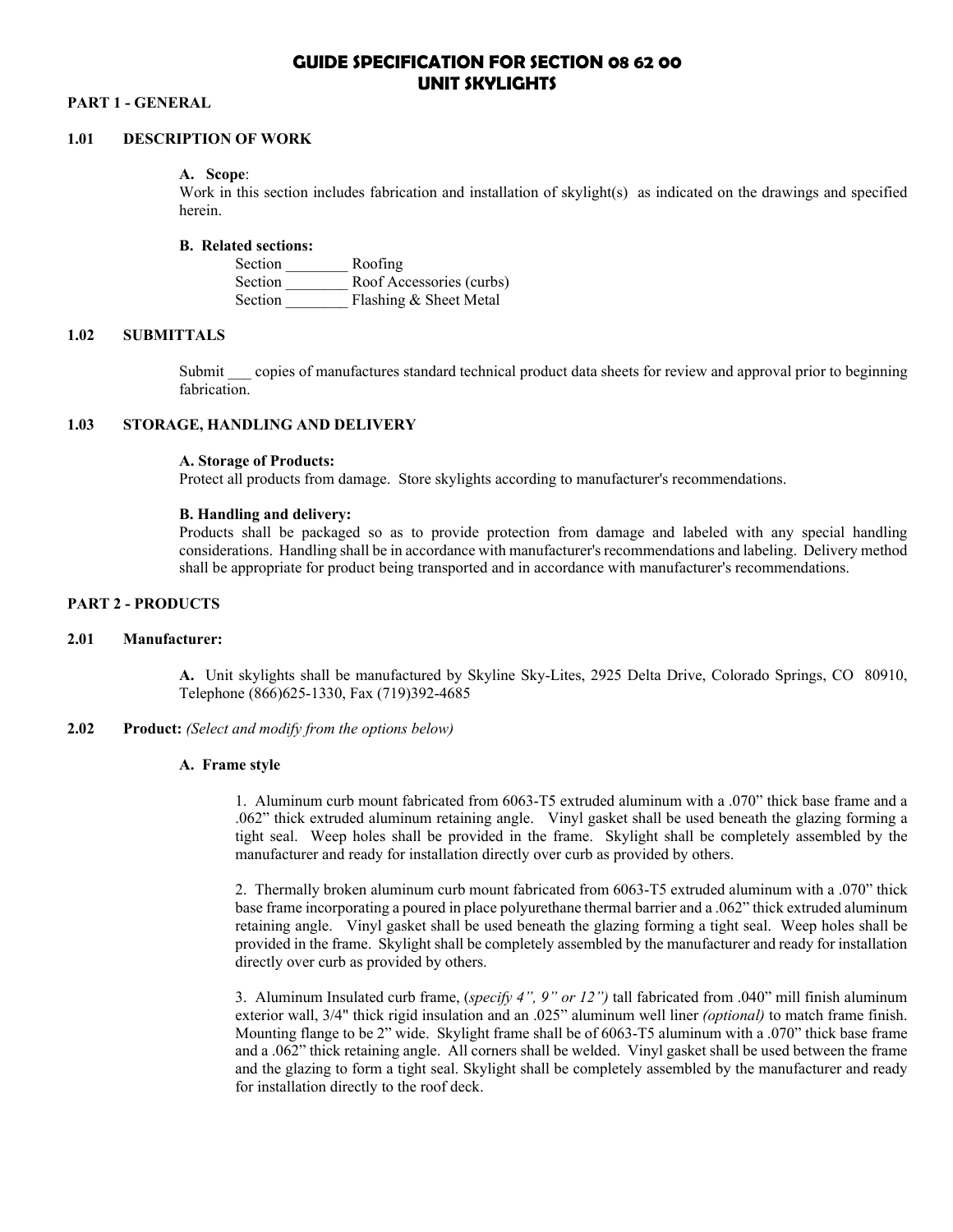# **GUIDE SPECIFICATION FOR SECTION 08 62 00 UNIT SKYLIGHTS**

# **PART 1 - GENERAL**

# **1.01 DESCRIPTION OF WORK**

#### **A. Scope**:

Work in this section includes fabrication and installation of skylight(s) as indicated on the drawings and specified herein.

### **B. Related sections:**

| Section        | Roofing                  |
|----------------|--------------------------|
| <b>Section</b> | Roof Accessories (curbs) |
| Section        | Flashing & Sheet Metal   |

# **1.02 SUBMITTALS**

Submit copies of manufactures standard technical product data sheets for review and approval prior to beginning fabrication.

## **1.03 STORAGE, HANDLING AND DELIVERY**

# **A. Storage of Products:**

Protect all products from damage. Store skylights according to manufacturer's recommendations.

### **B. Handling and delivery:**

Products shall be packaged so as to provide protection from damage and labeled with any special handling considerations. Handling shall be in accordance with manufacturer's recommendations and labeling. Delivery method shall be appropriate for product being transported and in accordance with manufacturer's recommendations.

### **PART 2 - PRODUCTS**

### **2.01 Manufacturer:**

**A.** Unit skylights shall be manufactured by Skyline Sky-Lites, 2925 Delta Drive, Colorado Springs, CO 80910, Telephone (866)625-1330, Fax (719)392-4685

# **2.02 Product:** *(Select and modify from the options below)*

#### **A. Frame style**

1. Aluminum curb mount fabricated from 6063-T5 extruded aluminum with a .070" thick base frame and a .062" thick extruded aluminum retaining angle. Vinyl gasket shall be used beneath the glazing forming a tight seal. Weep holes shall be provided in the frame. Skylight shall be completely assembled by the manufacturer and ready for installation directly over curb as provided by others.

2. Thermally broken aluminum curb mount fabricated from 6063-T5 extruded aluminum with a .070" thick base frame incorporating a poured in place polyurethane thermal barrier and a .062" thick extruded aluminum retaining angle. Vinyl gasket shall be used beneath the glazing forming a tight seal. Weep holes shall be provided in the frame. Skylight shall be completely assembled by the manufacturer and ready for installation directly over curb as provided by others.

3. Aluminum Insulated curb frame, (*specify 4", 9" or 12")* tall fabricated from .040" mill finish aluminum exterior wall, 3/4" thick rigid insulation and an .025" aluminum well liner *(optional)* to match frame finish. Mounting flange to be 2" wide. Skylight frame shall be of 6063-T5 aluminum with a .070" thick base frame and a .062" thick retaining angle. All corners shall be welded. Vinyl gasket shall be used between the frame and the glazing to form a tight seal. Skylight shall be completely assembled by the manufacturer and ready for installation directly to the roof deck.